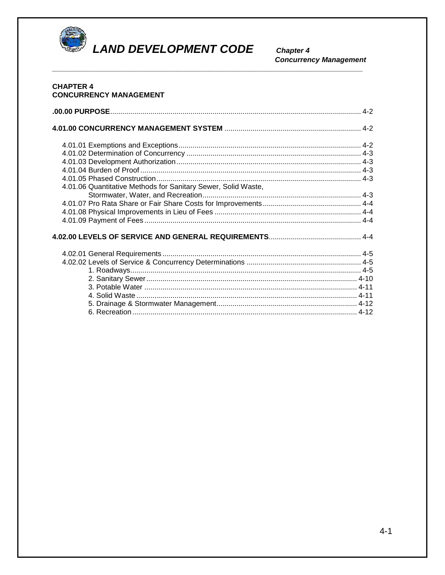

**LAND DEVELOPMENT CODE** 

**Chapter 4 Concurrency Management** 

# **CHAPTER 4 CONCURRENCY MANAGEMENT** 4.01.06 Quantitative Methods for Sanitary Sewer, Solid Waste,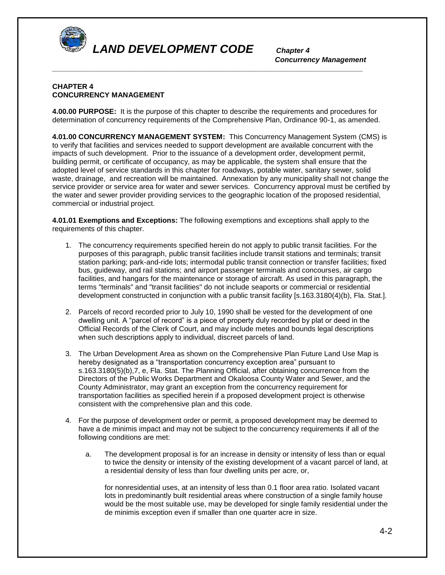

*Concurrency Management* 

## **CHAPTER 4 CONCURRENCY MANAGEMENT**

**4.00.00 PURPOSE:** It is the purpose of this chapter to describe the requirements and procedures for determination of concurrency requirements of the Comprehensive Plan, Ordinance 90-1, as amended.

*\_\_\_\_\_\_\_\_\_\_\_\_\_\_\_\_\_\_\_\_\_\_\_\_\_\_\_\_\_\_\_\_\_\_\_\_\_\_\_\_\_\_\_\_\_\_\_\_\_\_\_\_\_\_\_\_\_\_\_\_\_\_\_\_\_\_\_\_\_\_\_\_\_\_\_\_\_* 

**4.01.00 CONCURRENCY MANAGEMENT SYSTEM:** This Concurrency Management System (CMS) is to verify that facilities and services needed to support development are available concurrent with the impacts of such development. Prior to the issuance of a development order, development permit, building permit, or certificate of occupancy, as may be applicable, the system shall ensure that the adopted level of service standards in this chapter for roadways, potable water, sanitary sewer, solid waste, drainage, and recreation will be maintained. Annexation by any municipality shall not change the service provider or service area for water and sewer services. Concurrency approval must be certified by the water and sewer provider providing services to the geographic location of the proposed residential, commercial or industrial project.

**4.01.01 Exemptions and Exceptions:** The following exemptions and exceptions shall apply to the requirements of this chapter.

- 1. The concurrency requirements specified herein do not apply to public transit facilities. For the purposes of this paragraph, public transit facilities include transit stations and terminals; transit station parking; park-and-ride lots; intermodal public transit connection or transfer facilities; fixed bus, guideway, and rail stations; and airport passenger terminals and concourses, air cargo facilities, and hangars for the maintenance or storage of aircraft. As used in this paragraph, the terms "terminals" and "transit facilities" do not include seaports or commercial or residential development constructed in conjunction with a public transit facility [s.163.3180(4)(b), Fla. Stat.].
- 2. Parcels of record recorded prior to July 10, 1990 shall be vested for the development of one dwelling unit. A "parcel of record" is a piece of property duly recorded by plat or deed in the Official Records of the Clerk of Court, and may include metes and bounds legal descriptions when such descriptions apply to individual, discreet parcels of land.
- 3. The Urban Development Area as shown on the Comprehensive Plan Future Land Use Map is hereby designated as a "transportation concurrency exception area" pursuant to s.163.3180(5)(b),7, e, Fla. Stat. The Planning Official, after obtaining concurrence from the Directors of the Public Works Department and Okaloosa County Water and Sewer, and the County Administrator, may grant an exception from the concurrency requirement for transportation facilities as specified herein if a proposed development project is otherwise consistent with the comprehensive plan and this code.
- 4. For the purpose of development order or permit, a proposed development may be deemed to have a de minimis impact and may not be subject to the concurrency requirements if all of the following conditions are met:
	- a. The development proposal is for an increase in density or intensity of less than or equal to twice the density or intensity of the existing development of a vacant parcel of land, at a residential density of less than four dwelling units per acre, or,

for nonresidential uses, at an intensity of less than 0.1 floor area ratio. Isolated vacant lots in predominantly built residential areas where construction of a single family house would be the most suitable use, may be developed for single family residential under the de minimis exception even if smaller than one quarter acre in size.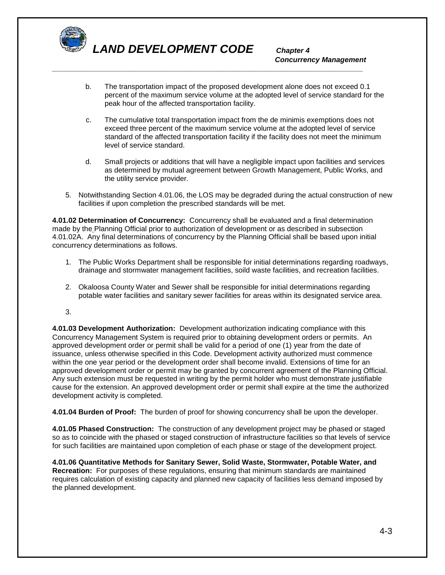

# *Concurrency Management*

b. The transportation impact of the proposed development alone does not exceed 0.1 percent of the maximum service volume at the adopted level of service standard for the peak hour of the affected transportation facility.

*\_\_\_\_\_\_\_\_\_\_\_\_\_\_\_\_\_\_\_\_\_\_\_\_\_\_\_\_\_\_\_\_\_\_\_\_\_\_\_\_\_\_\_\_\_\_\_\_\_\_\_\_\_\_\_\_\_\_\_\_\_\_\_\_\_\_\_\_\_\_\_\_\_\_\_\_\_* 

- c. The cumulative total transportation impact from the de minimis exemptions does not exceed three percent of the maximum service volume at the adopted level of service standard of the affected transportation facility if the facility does not meet the minimum level of service standard.
- d. Small projects or additions that will have a negligible impact upon facilities and services as determined by mutual agreement between Growth Management, Public Works, and the utility service provider.
- 5. Notwithstanding Section 4.01.06, the LOS may be degraded during the actual construction of new facilities if upon completion the prescribed standards will be met.

**4.01.02 Determination of Concurrency:** Concurrency shall be evaluated and a final determination made by the Planning Official prior to authorization of development or as described in subsection 4.01.02A. Any final determinations of concurrency by the Planning Official shall be based upon initial concurrency determinations as follows.

- 1. The Public Works Department shall be responsible for initial determinations regarding roadways, drainage and stormwater management facilities, soild waste facilities, and recreation facilities.
- 2. Okaloosa County Water and Sewer shall be responsible for initial determinations regarding potable water facilities and sanitary sewer facilities for areas within its designated service area.
- 3.

**4.01.03 Development Authorization:** Development authorization indicating compliance with this Concurrency Management System is required prior to obtaining development orders or permits. An approved development order or permit shall be valid for a period of one (1) year from the date of issuance, unless otherwise specified in this Code. Development activity authorized must commence within the one year period or the development order shall become invalid. Extensions of time for an approved development order or permit may be granted by concurrent agreement of the Planning Official. Any such extension must be requested in writing by the permit holder who must demonstrate justifiable cause for the extension. An approved development order or permit shall expire at the time the authorized development activity is completed.

**4.01.04 Burden of Proof:** The burden of proof for showing concurrency shall be upon the developer.

**4.01.05 Phased Construction:** The construction of any development project may be phased or staged so as to coincide with the phased or staged construction of infrastructure facilities so that levels of service for such facilities are maintained upon completion of each phase or stage of the development project.

**4.01.06 Quantitative Methods for Sanitary Sewer, Solid Waste, Stormwater, Potable Water, and Recreation:** For purposes of these regulations, ensuring that minimum standards are maintained requires calculation of existing capacity and planned new capacity of facilities less demand imposed by the planned development.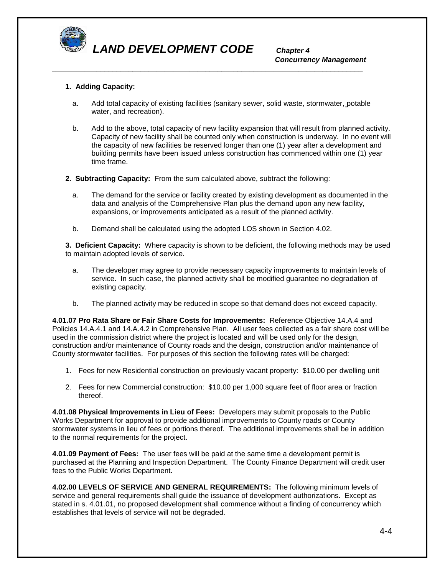

*Concurrency Management* 

### **1. Adding Capacity:**

a. Add total capacity of existing facilities (sanitary sewer, solid waste, stormwater, potable water, and recreation).

*\_\_\_\_\_\_\_\_\_\_\_\_\_\_\_\_\_\_\_\_\_\_\_\_\_\_\_\_\_\_\_\_\_\_\_\_\_\_\_\_\_\_\_\_\_\_\_\_\_\_\_\_\_\_\_\_\_\_\_\_\_\_\_\_\_\_\_\_\_\_\_\_\_\_\_\_\_* 

- b. Add to the above, total capacity of new facility expansion that will result from planned activity. Capacity of new facility shall be counted only when construction is underway. In no event will the capacity of new facilities be reserved longer than one (1) year after a development and building permits have been issued unless construction has commenced within one (1) year time frame.
- **2. Subtracting Capacity:** From the sum calculated above, subtract the following:
	- a. The demand for the service or facility created by existing development as documented in the data and analysis of the Comprehensive Plan plus the demand upon any new facility, expansions, or improvements anticipated as a result of the planned activity.
	- b. Demand shall be calculated using the adopted LOS shown in Section 4.02.

**3. Deficient Capacity:** Where capacity is shown to be deficient, the following methods may be used to maintain adopted levels of service.

- a. The developer may agree to provide necessary capacity improvements to maintain levels of service. In such case, the planned activity shall be modified guarantee no degradation of existing capacity.
- b. The planned activity may be reduced in scope so that demand does not exceed capacity.

**4.01.07 Pro Rata Share or Fair Share Costs for Improvements:** Reference Objective 14.A.4 and Policies 14.A.4.1 and 14.A.4.2 in Comprehensive Plan. All user fees collected as a fair share cost will be used in the commission district where the project is located and will be used only for the design, construction and/or maintenance of County roads and the design, construction and/or maintenance of County stormwater facilities. For purposes of this section the following rates will be charged:

- 1. Fees for new Residential construction on previously vacant property: \$10.00 per dwelling unit
- 2. Fees for new Commercial construction: \$10.00 per 1,000 square feet of floor area or fraction thereof.

**4.01.08 Physical Improvements in Lieu of Fees:** Developers may submit proposals to the Public Works Department for approval to provide additional improvements to County roads or County stormwater systems in lieu of fees or portions thereof. The additional improvements shall be in addition to the normal requirements for the project.

**4.01.09 Payment of Fees:** The user fees will be paid at the same time a development permit is purchased at the Planning and Inspection Department. The County Finance Department will credit user fees to the Public Works Department.

**4.02.00 LEVELS OF SERVICE AND GENERAL REQUIREMENTS:** The following minimum levels of service and general requirements shall guide the issuance of development authorizations. Except as stated in s. 4.01.01, no proposed development shall commence without a finding of concurrency which establishes that levels of service will not be degraded.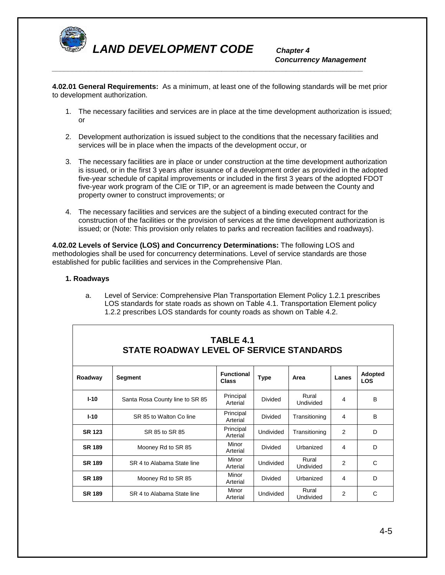

*Concurrency Management \_\_\_\_\_\_\_\_\_\_\_\_\_\_\_\_\_\_\_\_\_\_\_\_\_\_\_\_\_\_\_\_\_\_\_\_\_\_\_\_\_\_\_\_\_\_\_\_\_\_\_\_\_\_\_\_\_\_\_\_\_\_\_\_\_\_\_\_\_\_\_\_\_\_\_\_\_* 

**4.02.01 General Requirements:** As a minimum, at least one of the following standards will be met prior to development authorization.

- 1. The necessary facilities and services are in place at the time development authorization is issued; or
- 2. Development authorization is issued subject to the conditions that the necessary facilities and services will be in place when the impacts of the development occur, or
- 3. The necessary facilities are in place or under construction at the time development authorization is issued, or in the first 3 years after issuance of a development order as provided in the adopted five-year schedule of capital improvements or included in the first 3 years of the adopted FDOT five-year work program of the CIE or TIP, or an agreement is made between the County and property owner to construct improvements; or
- 4. The necessary facilities and services are the subject of a binding executed contract for the construction of the facilities or the provision of services at the time development authorization is issued; or (Note: This provision only relates to parks and recreation facilities and roadways).

**4.02.02 Levels of Service (LOS) and Concurrency Determinations:** The following LOS and methodologies shall be used for concurrency determinations. Level of service standards are those established for public facilities and services in the Comprehensive Plan.

#### **1. Roadways**

| TABLE 4.1<br>STATE ROADWAY LEVEL OF SERVICE STANDARDS |                                 |                                   |                                   |                    |                |                       |  |  |
|-------------------------------------------------------|---------------------------------|-----------------------------------|-----------------------------------|--------------------|----------------|-----------------------|--|--|
| Roadway                                               | Segment                         | <b>Functional</b><br><b>Class</b> | <b>Type</b>                       | Area               | Lanes          | Adopted<br><b>LOS</b> |  |  |
| $I-10$                                                | Santa Rosa County line to SR 85 | Principal<br>Arterial             | Divided                           | Rural<br>Undivided | 4              | B                     |  |  |
| $I-10$                                                | SR 85 to Walton Co line         | Principal<br>Arterial             | Divided                           | Transitioning      |                | B                     |  |  |
| <b>SR 123</b>                                         | SR 85 to SR 85                  | Principal<br>Arterial             | <b>Undivided</b><br>Transitioning |                    | 2              | D                     |  |  |
| <b>SR 189</b>                                         | Mooney Rd to SR 85              | Minor<br>Arterial                 | Divided<br>Urbanized              |                    | 4              | D                     |  |  |
| <b>SR 189</b>                                         | SR 4 to Alabama State line      | Minor<br>Arterial                 | Rural<br>Undivided<br>Undivided   |                    | 2              | C                     |  |  |
| <b>SR 189</b>                                         | Mooney Rd to SR 85              | Minor<br>Arterial                 | Divided                           | Urbanized          | 4              | D                     |  |  |
| <b>SR 189</b>                                         | SR 4 to Alabama State line      | Minor<br>Arterial                 | <b>Undivided</b>                  | Rural<br>Undivided | $\overline{2}$ | C                     |  |  |

a. Level of Service: Comprehensive Plan Transportation Element Policy 1.2.1 prescribes LOS standards for state roads as shown on Table 4.1. Transportation Element policy 1.2.2 prescribes LOS standards for county roads as shown on Table 4.2.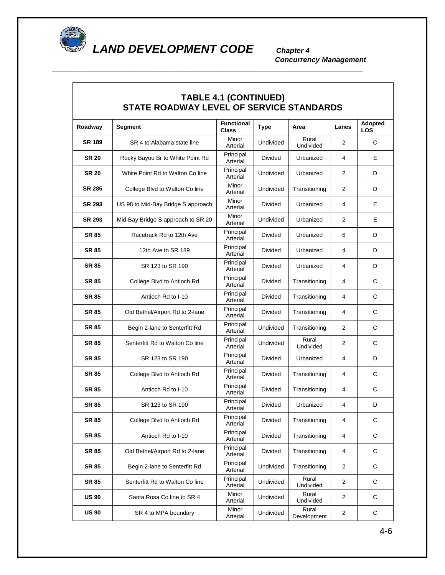

 $\overline{\phantom{a}}$ 

*LAND DEVELOPMENT CODE Chapter 4*

*\_\_\_\_\_\_\_\_\_\_\_\_\_\_\_\_\_\_\_\_\_\_\_\_\_\_\_\_\_\_\_\_\_\_\_\_\_\_\_\_\_\_\_\_\_\_\_\_\_\_\_\_\_\_\_\_\_\_\_\_\_\_\_\_\_\_\_\_\_\_\_\_\_\_\_\_\_* 

*Concurrency Management* 

٦

| <b>TABLE 4.1 (CONTINUED)</b><br>STATE ROADWAY LEVEL OF SERVICE STANDARDS |                                    |                                   |                                  |                      |                |                       |  |  |
|--------------------------------------------------------------------------|------------------------------------|-----------------------------------|----------------------------------|----------------------|----------------|-----------------------|--|--|
| Roadway                                                                  | Segment                            | <b>Functional</b><br><b>Class</b> | <b>Type</b>                      | Area                 | Lanes          | Adopted<br><b>LOS</b> |  |  |
| <b>SR 189</b>                                                            | SR 4 to Alabama state line         | Minor<br>Arterial                 | Rural<br>Undivided<br>Undivided  |                      | 2              | C                     |  |  |
| <b>SR 20</b>                                                             | Rocky Bayou Br to White Point Rd   | Principal<br>Arterial             | <b>Divided</b><br>Urbanized<br>4 |                      | Е              |                       |  |  |
| <b>SR 20</b>                                                             | White Point Rd to Walton Co line   | Principal<br>Arterial             | Undivided                        | Urbanized            | 2              | D                     |  |  |
| <b>SR 285</b>                                                            | College Blvd to Walton Co line     | Minor<br>Arterial                 | Undivided                        | Transitioning        | 2              | D                     |  |  |
| <b>SR 293</b>                                                            | US 98 to Mid-Bay Bridge S approach | Minor<br>Arterial                 | Divided                          | Urbanized            | 4              | Е                     |  |  |
| <b>SR 293</b>                                                            | Mid-Bay Bridge S approach to SR 20 | Minor<br>Arterial                 | Undivided                        | Urbanized            | 2              | Е                     |  |  |
| <b>SR 85</b>                                                             | Racetrack Rd to 12th Ave           | Principal<br>Arterial             | <b>Divided</b>                   | Urbanized            | 6              | D                     |  |  |
| <b>SR 85</b>                                                             | 12th Ave to SR 189                 | Principal<br>Arterial             | <b>Divided</b>                   | Urbanized            | 4              | D                     |  |  |
| <b>SR 85</b>                                                             | SR 123 to SR 190                   | Principal<br>Arterial             | Divided                          | Urbanized            | 4              | D                     |  |  |
| <b>SR 85</b>                                                             | College Blvd to Antioch Rd         | Principal<br>Arterial             | <b>Divided</b>                   | Transitioning        | 4              | С                     |  |  |
| <b>SR 85</b>                                                             | Antioch Rd to I-10                 | Principal<br>Arterial             | Divided                          | Transitioning        | 4              | С                     |  |  |
| <b>SR 85</b>                                                             | Old Bethel/Airport Rd to 2-lane    | Principal<br>Arterial             | Divided<br>Transitioning         |                      | 4              | С                     |  |  |
| <b>SR 85</b>                                                             | Begin 2-lane to Senterfitt Rd      | Principal<br>Arterial             | Undivided<br>Transitioning       |                      | 2              | C                     |  |  |
| <b>SR 85</b>                                                             | Senterfitt Rd to Walton Co line    | Principal<br>Arterial             | Rural<br>Undivided<br>Undivided  |                      | 2              | С                     |  |  |
| <b>SR 85</b>                                                             | SR 123 to SR 190                   | Principal<br>Arterial             | <b>Divided</b><br>Urbanized      |                      | 4              | D                     |  |  |
| <b>SR 85</b>                                                             | College Blvd to Antioch Rd         | Principal<br>Arterial             | Divided                          | Transitioning        | 4              | C                     |  |  |
| <b>SR 85</b>                                                             | Antioch Rd to I-10                 | Principal<br>Arterial             | Divided                          | Transitioning        | 4              | C                     |  |  |
| <b>SR 85</b>                                                             | SR 123 to SR 190                   | Principal<br>Arterial             | Divided                          | Urbanized            | 4              | D                     |  |  |
| <b>SR 85</b>                                                             | College Blvd to Antioch Rd         | Principal<br>Arterial             | Divided                          | Transitioning        | $\overline{4}$ | C                     |  |  |
| <b>SR 85</b>                                                             | Antioch Rd to I-10                 | Principal<br>Arterial             | Divided                          | Transitioning        | 4              | C                     |  |  |
| <b>SR 85</b>                                                             | Old Bethel/Airport Rd to 2-lane    | Principal<br>Arterial             | Divided                          | Transitioning        | 4              | С                     |  |  |
| <b>SR 85</b>                                                             | Begin 2-lane to Senterfitt Rd      | Principal<br>Arterial             | Undivided                        | Transitioning        | $\overline{c}$ | С                     |  |  |
| <b>SR 85</b>                                                             | Senterfitt Rd to Walton Co line    | Principal<br>Arterial             | Undivided                        | Rural<br>Undivided   | $\overline{c}$ | С                     |  |  |
| <b>US 90</b>                                                             | Santa Rosa Co line to SR 4         | Minor<br>Arterial                 | Undivided                        | Rural<br>Undivided   | $\overline{c}$ | C                     |  |  |
| <b>US 90</b>                                                             | SR 4 to MPA boundary               | Minor<br>Arterial                 | Undivided                        | Rural<br>Development | 2              | С                     |  |  |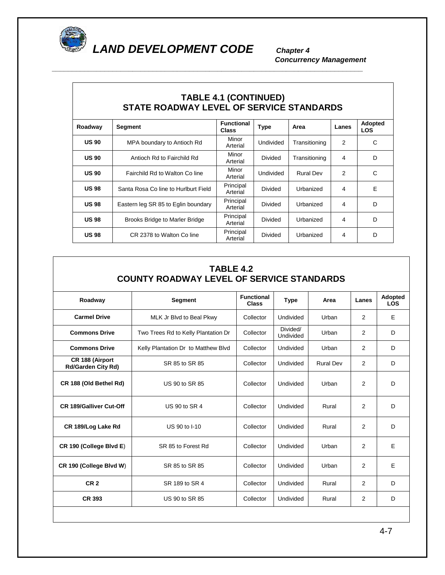

*\_\_\_\_\_\_\_\_\_\_\_\_\_\_\_\_\_\_\_\_\_\_\_\_\_\_\_\_\_\_\_\_\_\_\_\_\_\_\_\_\_\_\_\_\_\_\_\_\_\_\_\_\_\_\_\_\_\_\_\_\_\_\_\_\_\_\_\_\_\_\_\_\_\_\_\_\_* 

*Concurrency Management* 

| <b>TABLE 4.1 (CONTINUED)</b><br>STATE ROADWAY LEVEL OF SERVICE STANDARDS |                                       |                                   |                               |               |                |                              |  |  |
|--------------------------------------------------------------------------|---------------------------------------|-----------------------------------|-------------------------------|---------------|----------------|------------------------------|--|--|
| Roadway                                                                  | Segment                               | <b>Functional</b><br><b>Class</b> | <b>Type</b>                   | Area          | Lanes          | <b>Adopted</b><br><b>LOS</b> |  |  |
| <b>US 90</b>                                                             | MPA boundary to Antioch Rd            | Minor<br>Arterial                 | Undivided                     | Transitioning | 2              | C                            |  |  |
| <b>US 90</b>                                                             | Antioch Rd to Fairchild Rd            | Minor<br>Arterial                 | Divided                       | Transitioning | 4              | D                            |  |  |
| <b>US 90</b>                                                             | Fairchild Rd to Walton Co line        | Minor<br>Arterial                 | Undivided<br><b>Rural Dev</b> |               | 2              | C                            |  |  |
| <b>US98</b>                                                              | Santa Rosa Co line to Hurlburt Field  | Principal<br>Arterial             | Divided<br>Urbanized          |               | 4              | F                            |  |  |
| <b>US98</b>                                                              | Eastern leg SR 85 to Eglin boundary   | Principal<br>Arterial             | Divided                       | Urbanized     | 4              | D                            |  |  |
| <b>US98</b>                                                              | <b>Brooks Bridge to Marler Bridge</b> | Principal<br>Arterial             | Divided                       | Urbanized     | 4              | D                            |  |  |
| <b>US 98</b>                                                             | CR 2378 to Walton Co line             | Principal<br>Arterial             | Divided                       | Urbanized     | $\overline{4}$ | D                            |  |  |

# **TABLE 4.2 COUNTY ROADWAY LEVEL OF SERVICE STANDARDS**

| Roadway                                      | <b>Segment</b>                      | <b>Functional</b><br><b>Class</b> | <b>Type</b>           | Area             | Lanes          | <b>Adopted</b><br><b>LOS</b> |
|----------------------------------------------|-------------------------------------|-----------------------------------|-----------------------|------------------|----------------|------------------------------|
| <b>Carmel Drive</b>                          | MLK Jr Blvd to Beal Pkwy            | Collector                         | Undivided             | Urban            | 2              | Е                            |
| <b>Commons Drive</b>                         | Two Trees Rd to Kelly Plantation Dr | Collector                         | Divided/<br>Undivided | Urban            | 2              | D                            |
| <b>Commons Drive</b>                         | Kelly Plantation Dr to Matthew Blvd | Collector                         | Undivided             | Urban            | 2              | D                            |
| CR 188 (Airport<br><b>Rd/Garden City Rd)</b> | SR 85 to SR 85                      | Collector                         | Undivided             | <b>Rural Dev</b> | $\overline{2}$ | D                            |
| CR 188 (Old Bethel Rd)                       | US 90 to SR 85                      | Collector                         | Undivided             | Urban            | 2              | D                            |
| <b>CR 189/Galliver Cut-Off</b>               | US 90 to SR 4                       | Collector                         | Undivided             | Rural            | 2              | D                            |
| CR 189/Log Lake Rd                           | US 90 to I-10                       | Collector                         | Undivided             | Rural            | 2              | D                            |
| CR 190 (College Blvd E)                      | SR 85 to Forest Rd                  | Collector                         | Undivided             | Urban            | 2              | E                            |
| CR 190 (College Blvd W)                      | SR 85 to SR 85                      | Collector                         | Undivided             | Urban            | 2              | E                            |
| CR <sub>2</sub>                              | SR 189 to SR 4                      | Collector                         | Undivided             | Rural            | $\overline{2}$ | D                            |
| <b>CR 393</b>                                | US 90 to SR 85                      | Collector                         | Undivided             | Rural            | $\overline{2}$ | D                            |
|                                              |                                     |                                   |                       |                  |                |                              |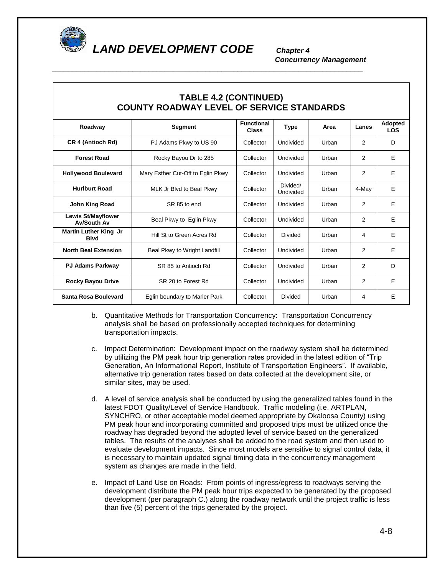

*\_\_\_\_\_\_\_\_\_\_\_\_\_\_\_\_\_\_\_\_\_\_\_\_\_\_\_\_\_\_\_\_\_\_\_\_\_\_\_\_\_\_\_\_\_\_\_\_\_\_\_\_\_\_\_\_\_\_\_\_\_\_\_\_\_\_\_\_\_\_\_\_\_\_\_\_\_* 

*Concurrency Management* 

| <b>TABLE 4.2 (CONTINUED)</b><br><b>COUNTY ROADWAY LEVEL OF SERVICE STANDARDS</b> |                                   |                            |                       |       |                |                       |  |  |
|----------------------------------------------------------------------------------|-----------------------------------|----------------------------|-----------------------|-------|----------------|-----------------------|--|--|
| Roadway                                                                          | Segment                           | <b>Functional</b><br>Class | <b>Type</b>           | Area  | Lanes          | Adopted<br><b>LOS</b> |  |  |
| CR 4 (Antioch Rd)                                                                | PJ Adams Pkwy to US 90            | Collector                  | Undivided             | Urban | 2              | D                     |  |  |
| <b>Forest Road</b>                                                               | Rocky Bayou Dr to 285             | Collector                  | Undivided             | Urban | 2              | E                     |  |  |
| <b>Hollywood Boulevard</b>                                                       | Mary Esther Cut-Off to Eglin Pkwy | Collector                  | <b>Undivided</b>      | Urban | $\overline{2}$ | E                     |  |  |
| <b>Hurlburt Road</b>                                                             | MLK Jr Blvd to Beal Pkwy          | Collector                  | Divided/<br>Undivided | Urban | 4-Mav          | E                     |  |  |
| John King Road                                                                   | SR 85 to end                      | Collector                  | Undivided             | Urban | $\overline{2}$ | E                     |  |  |
| <b>Lewis St/Mayflower</b><br><b>Av/South Av</b>                                  | Beal Pkwy to Eglin Pkwy           | Collector                  | Undivided             | Urban | 2              | E                     |  |  |
| <b>Martin Luther King Jr</b><br><b>B</b> lvd                                     | Hill St to Green Acres Rd         | Collector                  | Divided               | Urban | 4              | E                     |  |  |
| <b>North Beal Extension</b>                                                      | Beal Pkwy to Wright Landfill      | Collector                  | Undivided             | Urban | $\overline{2}$ | E                     |  |  |
| <b>PJ Adams Parkway</b>                                                          | SR 85 to Antioch Rd               | Collector                  | Undivided             | Urban | 2              | D                     |  |  |
| <b>Rocky Bayou Drive</b>                                                         | SR 20 to Forest Rd                | Collector                  | Undivided             | Urban | 2              | E                     |  |  |
| Santa Rosa Boulevard                                                             | Eglin boundary to Marler Park     | Collector                  | Divided               | Urban | 4              | Е                     |  |  |

b. Quantitative Methods for Transportation Concurrency: Transportation Concurrency analysis shall be based on professionally accepted techniques for determining transportation impacts.

- c. Impact Determination: Development impact on the roadway system shall be determined by utilizing the PM peak hour trip generation rates provided in the latest edition of "Trip Generation, An Informational Report, Institute of Transportation Engineers". If available, alternative trip generation rates based on data collected at the development site, or similar sites, may be used.
- d. A level of service analysis shall be conducted by using the generalized tables found in the latest FDOT Quality/Level of Service Handbook. Traffic modeling (i.e. ARTPLAN, SYNCHRO, or other acceptable model deemed appropriate by Okaloosa County) using PM peak hour and incorporating committed and proposed trips must be utilized once the roadway has degraded beyond the adopted level of service based on the generalized tables. The results of the analyses shall be added to the road system and then used to evaluate development impacts. Since most models are sensitive to signal control data, it is necessary to maintain updated signal timing data in the concurrency management system as changes are made in the field.
- e. Impact of Land Use on Roads: From points of ingress/egress to roadways serving the development distribute the PM peak hour trips expected to be generated by the proposed development (per paragraph C.) along the roadway network until the project traffic is less than five (5) percent of the trips generated by the project.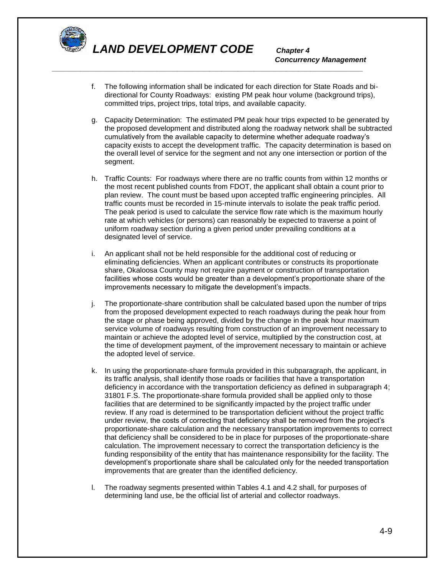

*\_\_\_\_\_\_\_\_\_\_\_\_\_\_\_\_\_\_\_\_\_\_\_\_\_\_\_\_\_\_\_\_\_\_\_\_\_\_\_\_\_\_\_\_\_\_\_\_\_\_\_\_\_\_\_\_\_\_\_\_\_\_\_\_\_\_\_\_\_\_\_\_\_\_\_\_\_* 

*Concurrency Management* 

- f. The following information shall be indicated for each direction for State Roads and bidirectional for County Roadways: existing PM peak hour volume (background trips), committed trips, project trips, total trips, and available capacity.
- g. Capacity Determination: The estimated PM peak hour trips expected to be generated by the proposed development and distributed along the roadway network shall be subtracted cumulatively from the available capacity to determine whether adequate roadway's capacity exists to accept the development traffic. The capacity determination is based on the overall level of service for the segment and not any one intersection or portion of the segment.
- h. Traffic Counts: For roadways where there are no traffic counts from within 12 months or the most recent published counts from FDOT, the applicant shall obtain a count prior to plan review. The count must be based upon accepted traffic engineering principles. All traffic counts must be recorded in 15-minute intervals to isolate the peak traffic period. The peak period is used to calculate the service flow rate which is the maximum hourly rate at which vehicles (or persons) can reasonably be expected to traverse a point of uniform roadway section during a given period under prevailing conditions at a designated level of service.
- i. An applicant shall not be held responsible for the additional cost of reducing or eliminating deficiencies. When an applicant contributes or constructs its proportionate share, Okaloosa County may not require payment or construction of transportation facilities whose costs would be greater than a development's proportionate share of the improvements necessary to mitigate the development's impacts.
- j. The proportionate-share contribution shall be calculated based upon the number of trips from the proposed development expected to reach roadways during the peak hour from the stage or phase being approved, divided by the change in the peak hour maximum service volume of roadways resulting from construction of an improvement necessary to maintain or achieve the adopted level of service, multiplied by the construction cost, at the time of development payment, of the improvement necessary to maintain or achieve the adopted level of service.
- k. In using the proportionate-share formula provided in this subparagraph, the applicant, in its traffic analysis, shall identify those roads or facilities that have a transportation deficiency in accordance with the transportation deficiency as defined in subparagraph 4; 31801 F.S. The proportionate-share formula provided shall be applied only to those facilities that are determined to be significantly impacted by the project traffic under review. If any road is determined to be transportation deficient without the project traffic under review, the costs of correcting that deficiency shall be removed from the project's proportionate-share calculation and the necessary transportation improvements to correct that deficiency shall be considered to be in place for purposes of the proportionate-share calculation. The improvement necessary to correct the transportation deficiency is the funding responsibility of the entity that has maintenance responsibility for the facility. The development's proportionate share shall be calculated only for the needed transportation improvements that are greater than the identified deficiency.
- l. The roadway segments presented within Tables 4.1 and 4.2 shall, for purposes of determining land use, be the official list of arterial and collector roadways.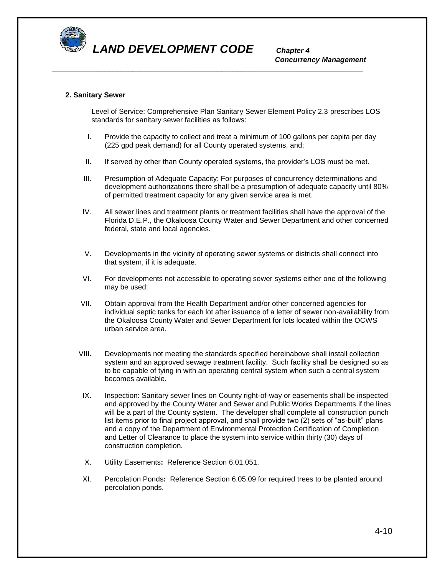

*\_\_\_\_\_\_\_\_\_\_\_\_\_\_\_\_\_\_\_\_\_\_\_\_\_\_\_\_\_\_\_\_\_\_\_\_\_\_\_\_\_\_\_\_\_\_\_\_\_\_\_\_\_\_\_\_\_\_\_\_\_\_\_\_\_\_\_\_\_\_\_\_\_\_\_\_\_* 

*Concurrency Management* 

#### **2. Sanitary Sewer**

Level of Service: Comprehensive Plan Sanitary Sewer Element Policy 2.3 prescribes LOS standards for sanitary sewer facilities as follows:

- I. Provide the capacity to collect and treat a minimum of 100 gallons per capita per day (225 gpd peak demand) for all County operated systems, and;
- II. If served by other than County operated systems, the provider's LOS must be met.
- III. Presumption of Adequate Capacity: For purposes of concurrency determinations and development authorizations there shall be a presumption of adequate capacity until 80% of permitted treatment capacity for any given service area is met.
- IV. All sewer lines and treatment plants or treatment facilities shall have the approval of the Florida D.E.P., the Okaloosa County Water and Sewer Department and other concerned federal, state and local agencies.
- V. Developments in the vicinity of operating sewer systems or districts shall connect into that system, if it is adequate.
- VI. For developments not accessible to operating sewer systems either one of the following may be used:
- VII. Obtain approval from the Health Department and/or other concerned agencies for individual septic tanks for each lot after issuance of a letter of sewer non-availability from the Okaloosa County Water and Sewer Department for lots located within the OCWS urban service area.
- VIII. Developments not meeting the standards specified hereinabove shall install collection system and an approved sewage treatment facility. Such facility shall be designed so as to be capable of tying in with an operating central system when such a central system becomes available.
- IX. Inspection: Sanitary sewer lines on County right-of-way or easements shall be inspected and approved by the County Water and Sewer and Public Works Departments if the lines will be a part of the County system. The developer shall complete all construction punch list items prior to final project approval, and shall provide two (2) sets of "as-built" plans and a copy of the Department of Environmental Protection Certification of Completion and Letter of Clearance to place the system into service within thirty (30) days of construction completion.
- X. Utility Easements**:** Reference Section 6.01.051.
- XI. Percolation Ponds**:** Reference Section 6.05.09 for required trees to be planted around percolation ponds.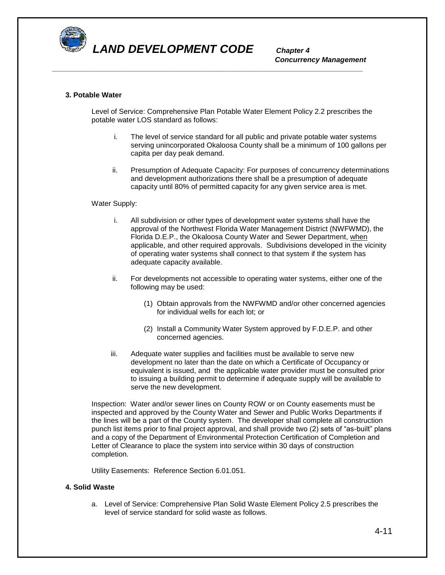

*Concurrency Management* 

#### **3. Potable Water**

Level of Service: Comprehensive Plan Potable Water Element Policy 2.2 prescribes the potable water LOS standard as follows:

*\_\_\_\_\_\_\_\_\_\_\_\_\_\_\_\_\_\_\_\_\_\_\_\_\_\_\_\_\_\_\_\_\_\_\_\_\_\_\_\_\_\_\_\_\_\_\_\_\_\_\_\_\_\_\_\_\_\_\_\_\_\_\_\_\_\_\_\_\_\_\_\_\_\_\_\_\_* 

- i. The level of service standard for all public and private potable water systems serving unincorporated Okaloosa County shall be a minimum of 100 gallons per capita per day peak demand.
- ii. Presumption of Adequate Capacity: For purposes of concurrency determinations and development authorizations there shall be a presumption of adequate capacity until 80% of permitted capacity for any given service area is met.

#### Water Supply:

- i. All subdivision or other types of development water systems shall have the approval of the Northwest Florida Water Management District (NWFWMD), the Florida D.E.P., the Okaloosa County Water and Sewer Department, when applicable, and other required approvals. Subdivisions developed in the vicinity of operating water systems shall connect to that system if the system has adequate capacity available.
- ii. For developments not accessible to operating water systems, either one of the following may be used:
	- (1) Obtain approvals from the NWFWMD and/or other concerned agencies for individual wells for each lot; or
	- (2) Install a Community Water System approved by F.D.E.P. and other concerned agencies.
- iii. Adequate water supplies and facilities must be available to serve new development no later than the date on which a Certificate of Occupancy or equivalent is issued, and the applicable water provider must be consulted prior to issuing a building permit to determine if adequate supply will be available to serve the new development.

Inspection: Water and/or sewer lines on County ROW or on County easements must be inspected and approved by the County Water and Sewer and Public Works Departments if the lines will be a part of the County system. The developer shall complete all construction punch list items prior to final project approval, and shall provide two (2) sets of "as-built" plans and a copy of the Department of Environmental Protection Certification of Completion and Letter of Clearance to place the system into service within 30 days of construction completion.

Utility Easements: Reference Section 6.01.051.

#### **4. Solid Waste**

a. Level of Service: Comprehensive Plan Solid Waste Element Policy 2.5 prescribes the level of service standard for solid waste as follows.